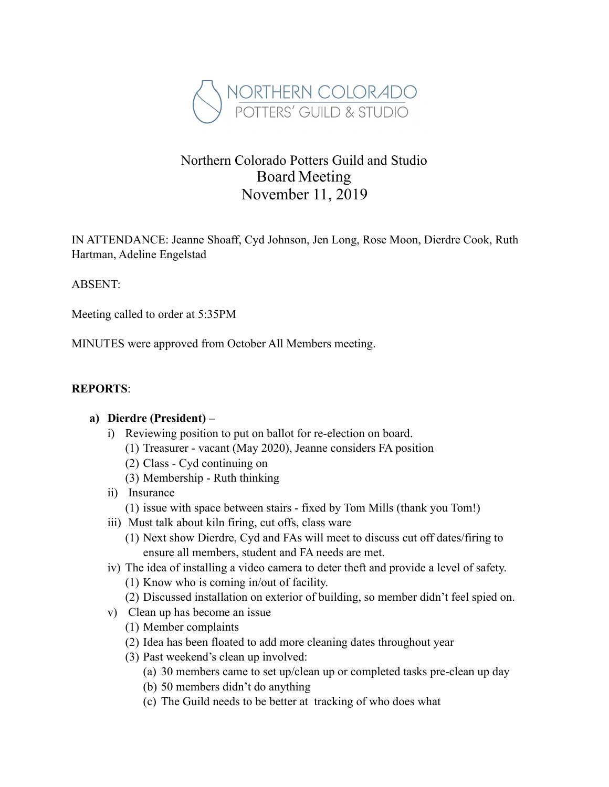

# Northern Colorado Potters Guild and Studio Board Meeting November 11, 2019

IN ATTENDANCE: Jeanne Shoaff, Cyd Johnson, Jen Long, Rose Moon, Dierdre Cook, Ruth Hartman, Adeline Engelstad

#### ABSENT:

Meeting called to order at 5:35PM

MINUTES were approved from October All Members meeting.

#### **REPORTS**:

#### **a) Dierdre (President) –**

- i) Reviewing position to put on ballot for re-election on board.
	- (1) Treasurer vacant (May 2020), Jeanne considers FA position
	- (2) Class Cyd continuing on
	- (3) Membership Ruth thinking
- ii) Insurance
	- (1) issue with space between stairs fixed by Tom Mills (thank you Tom!)
- iii) Must talk about kiln firing, cut offs, class ware
	- (1) Next show Dierdre, Cyd and FAs will meet to discuss cut off dates/firing to ensure all members, student and FA needs are met.
- iv) The idea of installing a video camera to deter theft and provide a level of safety.
	- (1) Know who is coming in/out of facility.
	- (2) Discussed installation on exterior of building, so member didn't feel spied on.
- v) Clean up has become an issue
	- (1) Member complaints
	- (2) Idea has been floated to add more cleaning dates throughout year
	- (3) Past weekend's clean up involved:
		- (a) 30 members came to set up/clean up or completed tasks pre-clean up day
		- (b) 50 members didn't do anything
		- (c) The Guild needs to be better at tracking of who does what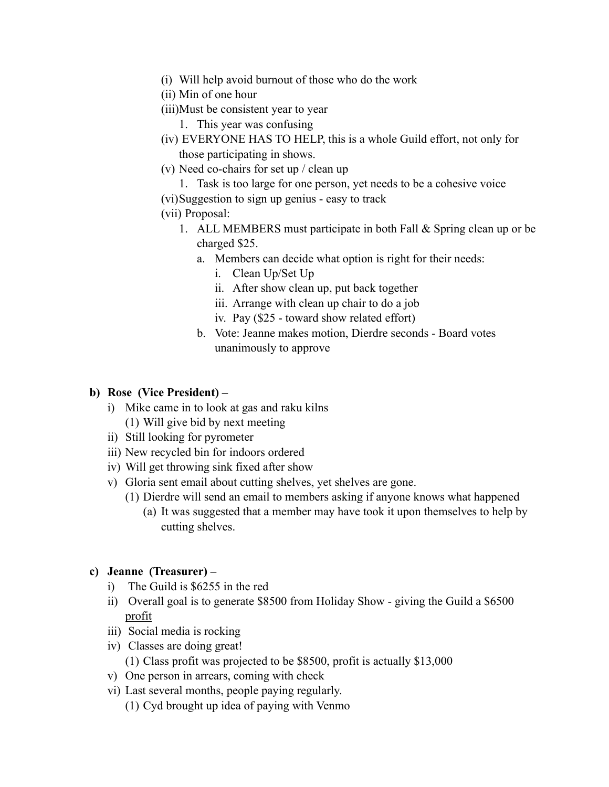- (i) Will help avoid burnout of those who do the work
- (ii) Min of one hour
- (iii)Must be consistent year to year
	- 1. This year was confusing
- (iv) EVERYONE HAS TO HELP, this is a whole Guild effort, not only for those participating in shows.
- (v) Need co-chairs for set up / clean up
	- 1. Task is too large for one person, yet needs to be a cohesive voice
- (vi)Suggestion to sign up genius easy to track
- (vii) Proposal:
	- 1. ALL MEMBERS must participate in both Fall & Spring clean up or be charged \$25.
		- a. Members can decide what option is right for their needs:
			- i. Clean Up/Set Up
			- ii. After show clean up, put back together
			- iii. Arrange with clean up chair to do a job
			- iv. Pay (\$25 toward show related effort)
		- b. Vote: Jeanne makes motion, Dierdre seconds Board votes unanimously to approve

#### **b) Rose (Vice President) –**

- i) Mike came in to look at gas and raku kilns (1) Will give bid by next meeting
- ii) Still looking for pyrometer
- iii) New recycled bin for indoors ordered
- iv) Will get throwing sink fixed after show
- v) Gloria sent email about cutting shelves, yet shelves are gone.
	- (1) Dierdre will send an email to members asking if anyone knows what happened
		- (a) It was suggested that a member may have took it upon themselves to help by cutting shelves.

#### **c) Jeanne (Treasurer) –**

- i) The Guild is \$6255 in the red
- ii) Overall goal is to generate \$8500 from Holiday Show giving the Guild a \$6500 profit
- iii) Social media is rocking
- iv) Classes are doing great!
	- (1) Class profit was projected to be \$8500, profit is actually \$13,000
- v) One person in arrears, coming with check
- vi) Last several months, people paying regularly.
	- (1) Cyd brought up idea of paying with Venmo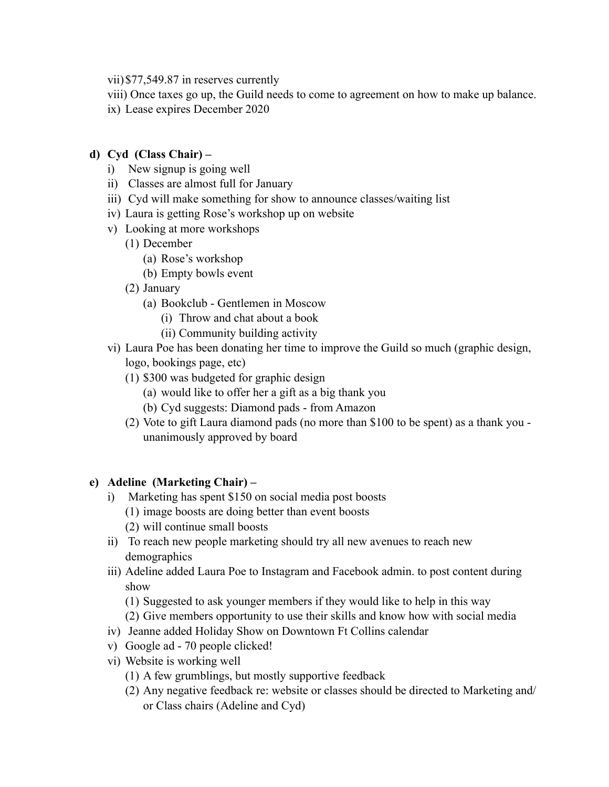- vii)\$77,549.87 in reserves currently
- viii) Once taxes go up, the Guild needs to come to agreement on how to make up balance.
- ix) Lease expires December 2020

#### **d) Cyd (Class Chair) –**

- i) New signup is going well
- ii) Classes are almost full for January
- iii) Cyd will make something for show to announce classes/waiting list
- iv) Laura is getting Rose's workshop up on website
- v) Looking at more workshops
	- (1) December
		- (a) Rose's workshop
		- (b) Empty bowls event
	- (2) January
		- (a) Bookclub Gentlemen in Moscow
			- (i) Throw and chat about a book
			- (ii) Community building activity
- vi) Laura Poe has been donating her time to improve the Guild so much (graphic design, logo, bookings page, etc)
	- (1) \$300 was budgeted for graphic design
		- (a) would like to offer her a gift as a big thank you
		- (b) Cyd suggests: Diamond pads from Amazon
	- (2) Vote to gift Laura diamond pads (no more than \$100 to be spent) as a thank you unanimously approved by board

#### **e) Adeline (Marketing Chair) –**

- i) Marketing has spent \$150 on social media post boosts (1) image boosts are doing better than event boosts (2) will continue small boosts
- ii) To reach new people marketing should try all new avenues to reach new demographics
- iii) Adeline added Laura Poe to Instagram and Facebook admin. to post content during show
	- (1) Suggested to ask younger members if they would like to help in this way
	- (2) Give members opportunity to use their skills and know how with social media
- iv) Jeanne added Holiday Show on Downtown Ft Collins calendar
- v) Google ad 70 people clicked!
- vi) Website is working well
	- (1) A few grumblings, but mostly supportive feedback
	- (2) Any negative feedback re: website or classes should be directed to Marketing and/ or Class chairs (Adeline and Cyd)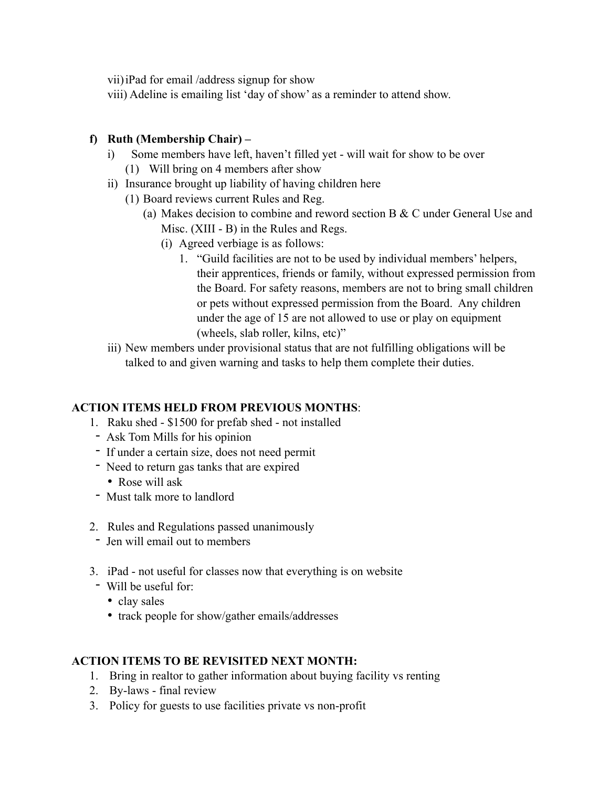vii)iPad for email /address signup for show

viii) Adeline is emailing list 'day of show' as a reminder to attend show.

#### **f) Ruth (Membership Chair) –**

- i) Some members have left, haven't filled yet will wait for show to be over
	- (1) Will bring on 4 members after show
- ii) Insurance brought up liability of having children here
	- (1) Board reviews current Rules and Reg.
		- (a) Makes decision to combine and reword section B & C under General Use and Misc. (XIII - B) in the Rules and Regs.
			- (i) Agreed verbiage is as follows:
				- 1. "Guild facilities are not to be used by individual members' helpers, their apprentices, friends or family, without expressed permission from the Board. For safety reasons, members are not to bring small children or pets without expressed permission from the Board. Any children under the age of 15 are not allowed to use or play on equipment (wheels, slab roller, kilns, etc)"
- iii) New members under provisional status that are not fulfilling obligations will be talked to and given warning and tasks to help them complete their duties.

### **ACTION ITEMS HELD FROM PREVIOUS MONTHS**:

- 1. Raku shed \$1500 for prefab shed not installed
- Ask Tom Mills for his opinion
- If under a certain size, does not need permit
- Need to return gas tanks that are expired
	- Rose will ask
- Must talk more to landlord
- 2. Rules and Regulations passed unanimously
- Jen will email out to members
- 3. iPad not useful for classes now that everything is on website
- Will be useful for:
	- clay sales
	- track people for show/gather emails/addresses

### **ACTION ITEMS TO BE REVISITED NEXT MONTH:**

- 1. Bring in realtor to gather information about buying facility vs renting
- 2. By-laws final review
- 3. Policy for guests to use facilities private vs non-profit